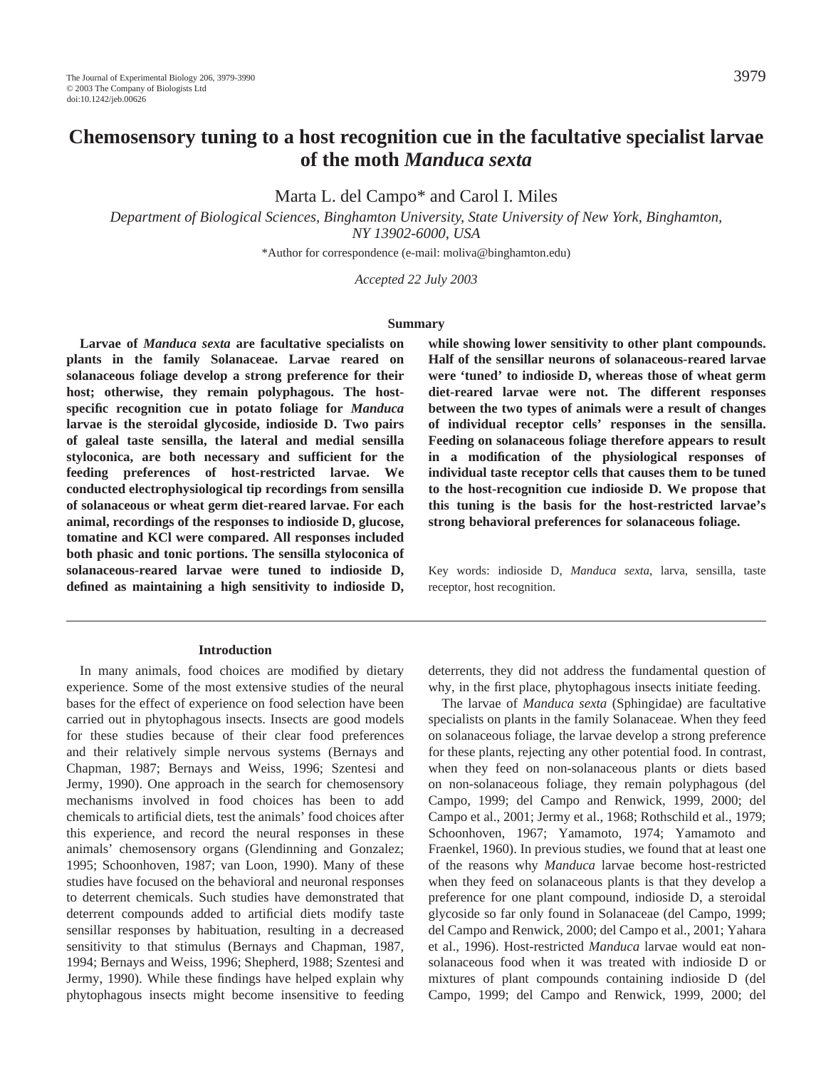# **Chemosensory tuning to a host recognition cue in the facultative specialist larvae of the moth** *Manduca sexta*

Marta L. del Campo\* and Carol I. Miles

*Department of Biological Sciences, Binghamton University, State University of New York, Binghamton, NY 13902-6000, USA*

\*Author for correspondence (e-mail: moliva@binghamton.edu)

*Accepted 22 July 2003* 

#### **Summary**

**Larvae of** *Manduca sexta* **are facultative specialists on plants in the family Solanaceae. Larvae reared on solanaceous foliage develop a strong preference for their host; otherwise, they remain polyphagous. The hostspecific recognition cue in potato foliage for** *Manduca* **larvae is the steroidal glycoside, indioside D. Two pairs of galeal taste sensilla, the lateral and medial sensilla styloconica, are both necessary and sufficient for the feeding preferences of host-restricted larvae. We conducted electrophysiological tip recordings from sensilla of solanaceous or wheat germ diet-reared larvae. For each animal, recordings of the responses to indioside D, glucose, tomatine and KCl were compared. All responses included both phasic and tonic portions. The sensilla styloconica of solanaceous-reared larvae were tuned to indioside D, defined as maintaining a high sensitivity to indioside D,**

#### **Introduction**

In many animals, food choices are modified by dietary experience. Some of the most extensive studies of the neural bases for the effect of experience on food selection have been carried out in phytophagous insects. Insects are good models for these studies because of their clear food preferences and their relatively simple nervous systems (Bernays and Chapman, 1987; Bernays and Weiss, 1996; Szentesi and Jermy, 1990). One approach in the search for chemosensory mechanisms involved in food choices has been to add chemicals to artificial diets, test the animals' food choices after this experience, and record the neural responses in these animals' chemosensory organs (Glendinning and Gonzalez; 1995; Schoonhoven, 1987; van Loon, 1990). Many of these studies have focused on the behavioral and neuronal responses to deterrent chemicals. Such studies have demonstrated that deterrent compounds added to artificial diets modify taste sensillar responses by habituation, resulting in a decreased sensitivity to that stimulus (Bernays and Chapman, 1987, 1994; Bernays and Weiss, 1996; Shepherd, 1988; Szentesi and Jermy, 1990). While these findings have helped explain why phytophagous insects might become insensitive to feeding

**while showing lower sensitivity to other plant compounds. Half of the sensillar neurons of solanaceous-reared larvae were 'tuned' to indioside D, whereas those of wheat germ diet-reared larvae were not. The different responses between the two types of animals were a result of changes of individual receptor cells' responses in the sensilla. Feeding on solanaceous foliage therefore appears to result in a modification of the physiological responses of individual taste receptor cells that causes them to be tuned to the host-recognition cue indioside D. We propose that this tuning is the basis for the host-restricted larvae's strong behavioral preferences for solanaceous foliage.**

Key words: indioside D, *Manduca sexta*, larva, sensilla, taste receptor, host recognition.

deterrents, they did not address the fundamental question of why, in the first place, phytophagous insects initiate feeding.

The larvae of *Manduca sexta* (Sphingidae) are facultative specialists on plants in the family Solanaceae. When they feed on solanaceous foliage, the larvae develop a strong preference for these plants, rejecting any other potential food. In contrast, when they feed on non-solanaceous plants or diets based on non-solanaceous foliage, they remain polyphagous (del Campo, 1999; del Campo and Renwick, 1999, 2000; del Campo et al., 2001; Jermy et al., 1968; Rothschild et al., 1979; Schoonhoven, 1967; Yamamoto, 1974; Yamamoto and Fraenkel, 1960). In previous studies, we found that at least one of the reasons why *Manduca* larvae become host-restricted when they feed on solanaceous plants is that they develop a preference for one plant compound, indioside D, a steroidal glycoside so far only found in Solanaceae (del Campo, 1999; del Campo and Renwick, 2000; del Campo et al., 2001; Yahara et al., 1996). Host-restricted *Manduca* larvae would eat nonsolanaceous food when it was treated with indioside D or mixtures of plant compounds containing indioside D (del Campo, 1999; del Campo and Renwick, 1999, 2000; del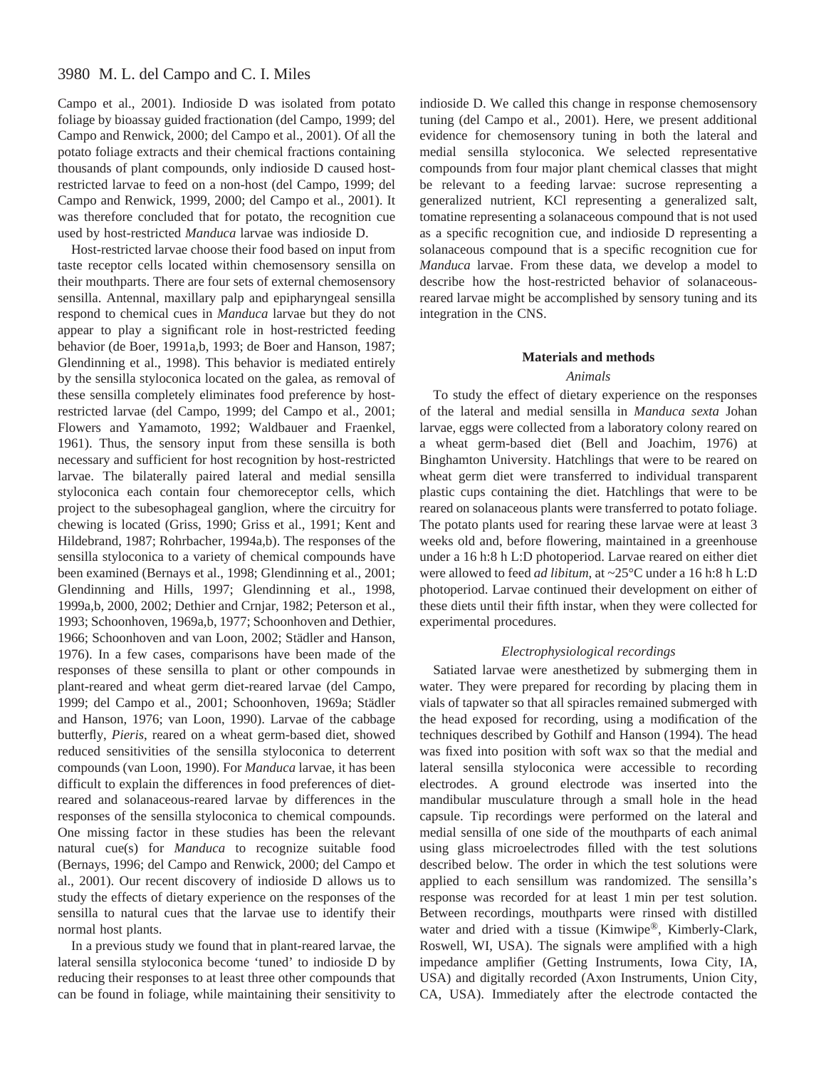# 3980 M. L. del Campo and C. I. Miles

Campo et al., 2001). Indioside D was isolated from potato foliage by bioassay guided fractionation (del Campo, 1999; del Campo and Renwick, 2000; del Campo et al., 2001). Of all the potato foliage extracts and their chemical fractions containing thousands of plant compounds, only indioside D caused hostrestricted larvae to feed on a non-host (del Campo, 1999; del Campo and Renwick, 1999, 2000; del Campo et al., 2001). It was therefore concluded that for potato, the recognition cue used by host-restricted *Manduca* larvae was indioside D.

Host-restricted larvae choose their food based on input from taste receptor cells located within chemosensory sensilla on their mouthparts. There are four sets of external chemosensory sensilla. Antennal, maxillary palp and epipharyngeal sensilla respond to chemical cues in *Manduca* larvae but they do not appear to play a significant role in host-restricted feeding behavior (de Boer, 1991a,b, 1993; de Boer and Hanson, 1987; Glendinning et al., 1998). This behavior is mediated entirely by the sensilla styloconica located on the galea, as removal of these sensilla completely eliminates food preference by hostrestricted larvae (del Campo, 1999; del Campo et al., 2001; Flowers and Yamamoto, 1992; Waldbauer and Fraenkel, 1961). Thus, the sensory input from these sensilla is both necessary and sufficient for host recognition by host-restricted larvae. The bilaterally paired lateral and medial sensilla styloconica each contain four chemoreceptor cells, which project to the subesophageal ganglion, where the circuitry for chewing is located (Griss, 1990; Griss et al., 1991; Kent and Hildebrand, 1987; Rohrbacher, 1994a,b). The responses of the sensilla styloconica to a variety of chemical compounds have been examined (Bernays et al., 1998; Glendinning et al., 2001; Glendinning and Hills, 1997; Glendinning et al., 1998, 1999a,b, 2000, 2002; Dethier and Crnjar, 1982; Peterson et al., 1993; Schoonhoven, 1969a,b, 1977; Schoonhoven and Dethier, 1966; Schoonhoven and van Loon, 2002; Städler and Hanson, 1976). In a few cases, comparisons have been made of the responses of these sensilla to plant or other compounds in plant-reared and wheat germ diet-reared larvae (del Campo, 1999; del Campo et al., 2001; Schoonhoven, 1969a; Städler and Hanson, 1976; van Loon, 1990). Larvae of the cabbage butterfly, *Pieris*, reared on a wheat germ-based diet, showed reduced sensitivities of the sensilla styloconica to deterrent compounds (van Loon, 1990). For *Manduca* larvae, it has been difficult to explain the differences in food preferences of dietreared and solanaceous-reared larvae by differences in the responses of the sensilla styloconica to chemical compounds. One missing factor in these studies has been the relevant natural cue(s) for *Manduca* to recognize suitable food (Bernays, 1996; del Campo and Renwick, 2000; del Campo et al., 2001). Our recent discovery of indioside D allows us to study the effects of dietary experience on the responses of the sensilla to natural cues that the larvae use to identify their normal host plants.

In a previous study we found that in plant-reared larvae, the lateral sensilla styloconica become 'tuned' to indioside D by reducing their responses to at least three other compounds that can be found in foliage, while maintaining their sensitivity to indioside D. We called this change in response chemosensory tuning (del Campo et al., 2001). Here, we present additional evidence for chemosensory tuning in both the lateral and medial sensilla styloconica. We selected representative compounds from four major plant chemical classes that might be relevant to a feeding larvae: sucrose representing a generalized nutrient, KCl representing a generalized salt, tomatine representing a solanaceous compound that is not used as a specific recognition cue, and indioside D representing a solanaceous compound that is a specific recognition cue for *Manduca* larvae. From these data, we develop a model to describe how the host-restricted behavior of solanaceousreared larvae might be accomplished by sensory tuning and its integration in the CNS.

### **Materials and methods**

### *Animals*

To study the effect of dietary experience on the responses of the lateral and medial sensilla in *Manduca sexta* Johan larvae, eggs were collected from a laboratory colony reared on a wheat germ-based diet (Bell and Joachim, 1976) at Binghamton University. Hatchlings that were to be reared on wheat germ diet were transferred to individual transparent plastic cups containing the diet. Hatchlings that were to be reared on solanaceous plants were transferred to potato foliage. The potato plants used for rearing these larvae were at least 3 weeks old and, before flowering, maintained in a greenhouse under a 16 h:8 h L:D photoperiod. Larvae reared on either diet were allowed to feed *ad libitum*, at ~25°C under a 16 h:8 h L:D photoperiod. Larvae continued their development on either of these diets until their fifth instar, when they were collected for experimental procedures.

### *Electrophysiological recordings*

Satiated larvae were anesthetized by submerging them in water. They were prepared for recording by placing them in vials of tapwater so that all spiracles remained submerged with the head exposed for recording, using a modification of the techniques described by Gothilf and Hanson (1994). The head was fixed into position with soft wax so that the medial and lateral sensilla styloconica were accessible to recording electrodes. A ground electrode was inserted into the mandibular musculature through a small hole in the head capsule. Tip recordings were performed on the lateral and medial sensilla of one side of the mouthparts of each animal using glass microelectrodes filled with the test solutions described below. The order in which the test solutions were applied to each sensillum was randomized. The sensilla's response was recorded for at least 1 min per test solution. Between recordings, mouthparts were rinsed with distilled water and dried with a tissue (Kimwipe®, Kimberly-Clark, Roswell, WI, USA). The signals were amplified with a high impedance amplifier (Getting Instruments, Iowa City, IA, USA) and digitally recorded (Axon Instruments, Union City, CA, USA). Immediately after the electrode contacted the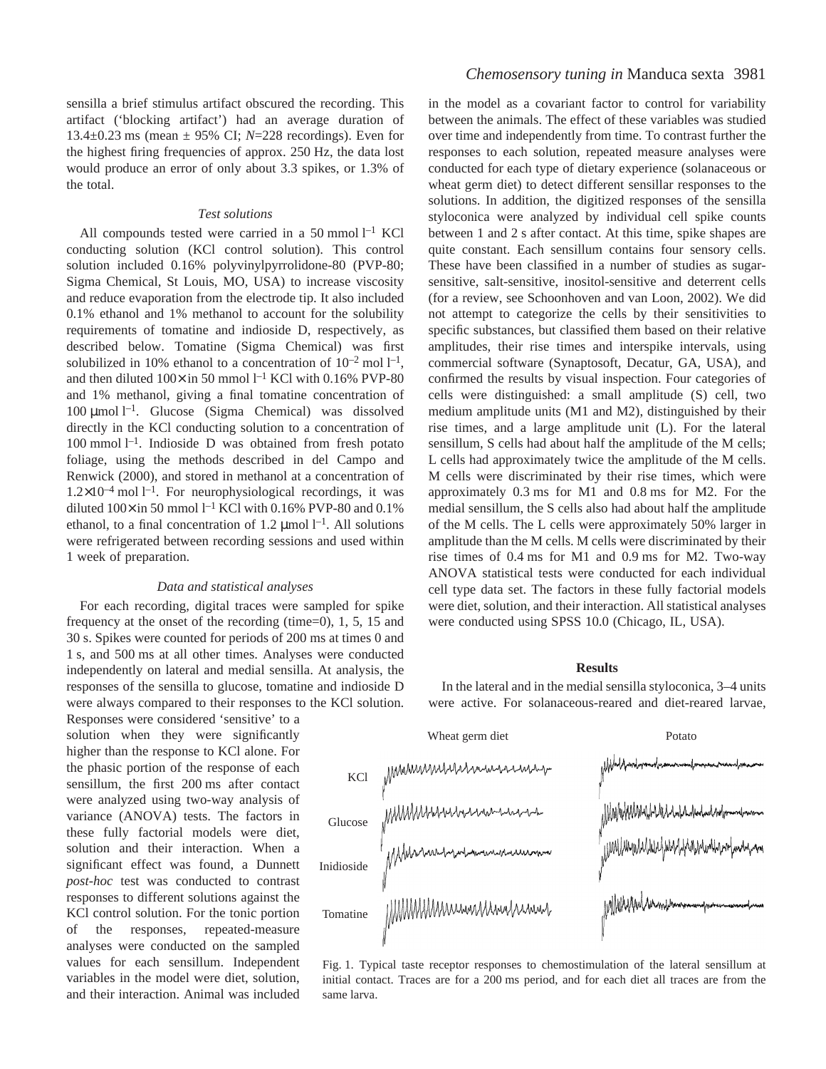sensilla a brief stimulus artifact obscured the recording. This artifact ('blocking artifact') had an average duration of 13.4 $\pm$ 0.23 ms (mean  $\pm$  95% CI; *N*=228 recordings). Even for the highest firing frequencies of approx. 250 Hz, the data lost would produce an error of only about 3.3 spikes, or 1.3% of the total.

### *Test solutions*

All compounds tested were carried in a 50 mmol  $l<sup>-1</sup>$  KCl conducting solution (KCl control solution). This control solution included 0.16% polyvinylpyrrolidone-80 (PVP-80; Sigma Chemical, St Louis, MO, USA) to increase viscosity and reduce evaporation from the electrode tip. It also included 0.1% ethanol and 1% methanol to account for the solubility requirements of tomatine and indioside D, respectively, as described below. Tomatine (Sigma Chemical) was first solubilized in 10% ethanol to a concentration of  $10^{-2}$  mol  $1^{-1}$ , and then diluted  $100 \times$  in 50 mmol  $l^{-1}$  KCl with 0.16% PVP-80 and 1% methanol, giving a final tomatine concentration of 100  $\mu$ mol l<sup>-1</sup>. Glucose (Sigma Chemical) was dissolved directly in the KCl conducting solution to a concentration of 100 mmol l<sup>-1</sup>. Indioside D was obtained from fresh potato foliage, using the methods described in del Campo and Renwick (2000), and stored in methanol at a concentration of  $1.2 \times 10^{-4}$  mol  $1^{-1}$ . For neurophysiological recordings, it was diluted  $100 \times$  in 50 mmol  $l^{-1}$  KCl with 0.16% PVP-80 and 0.1% ethanol, to a final concentration of 1.2  $\mu$ mol  $l^{-1}$ . All solutions were refrigerated between recording sessions and used within 1 week of preparation.

#### *Data and statistical analyses*

For each recording, digital traces were sampled for spike frequency at the onset of the recording (time=0), 1, 5, 15 and 30 s. Spikes were counted for periods of 200 ms at times 0 and 1 s, and 500 ms at all other times. Analyses were conducted independently on lateral and medial sensilla. At analysis, the responses of the sensilla to glucose, tomatine and indioside D were always compared to their responses to the KCl solution.

Responses were considered 'sensitive' to a solution when they were significantly higher than the response to KCl alone. For the phasic portion of the response of each sensillum, the first 200 ms after contact were analyzed using two-way analysis of variance (ANOVA) tests. The factors in these fully factorial models were diet, solution and their interaction. When a significant effect was found, a Dunnett *post-hoc* test was conducted to contrast responses to different solutions against the KCl control solution. For the tonic portion of the responses, repeated-measure analyses were conducted on the sampled values for each sensillum. Independent variables in the model were diet, solution, and their interaction. Animal was included

## *Chemosensory tuning in* Manduca sexta 3981

in the model as a covariant factor to control for variability between the animals. The effect of these variables was studied over time and independently from time. To contrast further the responses to each solution, repeated measure analyses were conducted for each type of dietary experience (solanaceous or wheat germ diet) to detect different sensillar responses to the solutions. In addition, the digitized responses of the sensilla styloconica were analyzed by individual cell spike counts between 1 and 2 s after contact. At this time, spike shapes are quite constant. Each sensillum contains four sensory cells. These have been classified in a number of studies as sugarsensitive, salt-sensitive, inositol-sensitive and deterrent cells (for a review, see Schoonhoven and van Loon, 2002). We did not attempt to categorize the cells by their sensitivities to specific substances, but classified them based on their relative amplitudes, their rise times and interspike intervals, using commercial software (Synaptosoft, Decatur, GA, USA), and confirmed the results by visual inspection. Four categories of cells were distinguished: a small amplitude (S) cell, two medium amplitude units (M1 and M2), distinguished by their rise times, and a large amplitude unit (L). For the lateral sensillum, S cells had about half the amplitude of the M cells; L cells had approximately twice the amplitude of the M cells. M cells were discriminated by their rise times, which were approximately  $0.3 \text{ ms}$  for M1 and  $0.8 \text{ ms}$  for M2. For the medial sensillum, the S cells also had about half the amplitude of the M cells. The L cells were approximately 50% larger in amplitude than the M cells. M cells were discriminated by their rise times of  $0.4$  ms for M1 and  $0.9$  ms for M2. Two-way ANOVA statistical tests were conducted for each individual cell type data set. The factors in these fully factorial models were diet, solution, and their interaction. All statistical analyses were conducted using SPSS 10.0 (Chicago, IL, USA).

### **Results**

In the lateral and in the medial sensilla styloconica, 3–4 units were active. For solanaceous-reared and diet-reared larvae,



Fig. 1. Typical taste receptor responses to chemostimulation of the lateral sensillum at initial contact. Traces are for a 200 ms period, and for each diet all traces are from the same larva.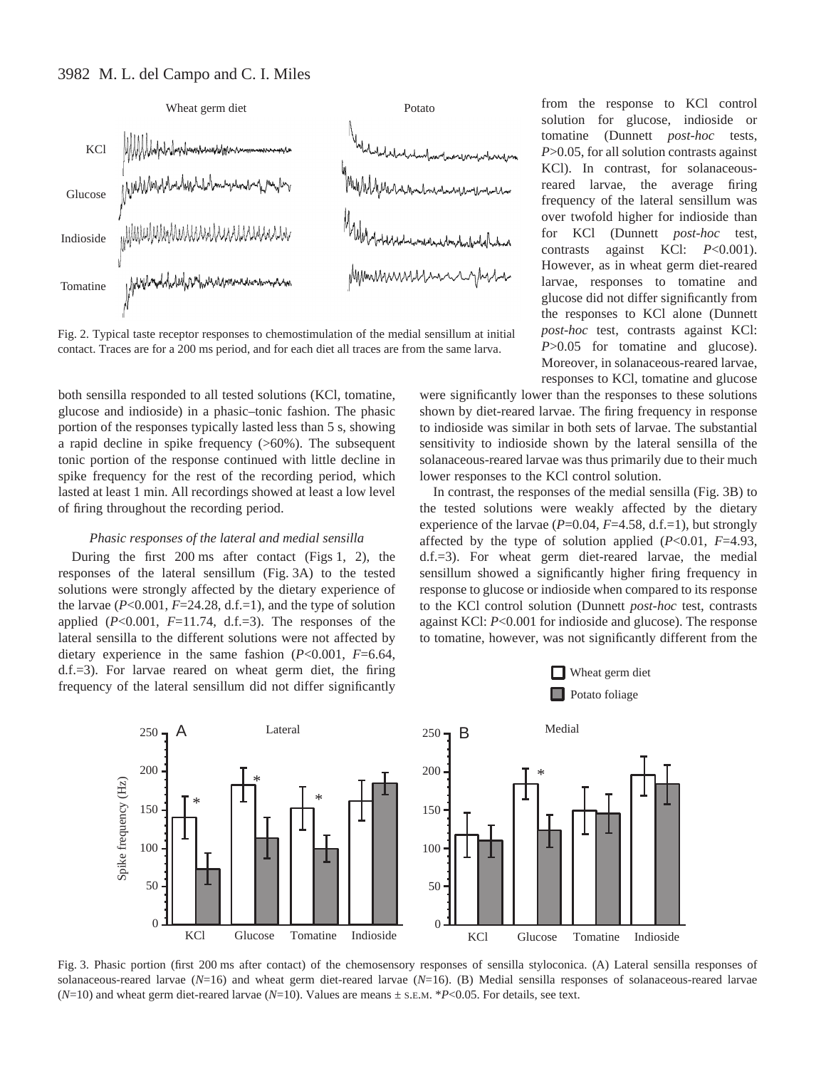# 3982 M. L. del Campo and C. I. Miles



Fig. 2. Typical taste receptor responses to chemostimulation of the medial sensillum at initial contact. Traces are for a 200 ms period, and for each diet all traces are from the same larva.

both sensilla responded to all tested solutions (KCl, tomatine, glucose and indioside) in a phasic–tonic fashion. The phasic portion of the responses typically lasted less than 5 s, showing a rapid decline in spike frequency (>60%). The subsequent tonic portion of the response continued with little decline in spike frequency for the rest of the recording period, which lasted at least 1 min. All recordings showed at least a low level of firing throughout the recording period.

### *Phasic responses of the lateral and medial sensilla*

During the first  $200$  ms after contact (Figs 1, 2), the responses of the lateral sensillum (Fig. 3A) to the tested solutions were strongly affected by the dietary experience of the larvae  $(P<0.001, F=24.28, d.f.=1)$ , and the type of solution applied  $(P<0.001, F=11.74, d.f.=3)$ . The responses of the lateral sensilla to the different solutions were not affected by dietary experience in the same fashion (*P*<0.001, *F*=6.64, d.f.=3). For larvae reared on wheat germ diet, the firing frequency of the lateral sensillum did not differ significantly

from the response to KCl control solution for glucose, indioside or tomatine (Dunnett *post-hoc* tests, *P*>0.05, for all solution contrasts against KCl). In contrast, for solanaceousreared larvae, the average firing frequency of the lateral sensillum was over twofold higher for indioside than for KCl (Dunnett *post-hoc* test, contrasts against KCl: *P*<0.001). However, as in wheat germ diet-reared larvae, responses to tomatine and glucose did not differ significantly from the responses to KCl alone (Dunnett *post-hoc* test, contrasts against KCl: *P*>0.05 for tomatine and glucose). Moreover, in solanaceous-reared larvae, responses to KCl, tomatine and glucose

were significantly lower than the responses to these solutions shown by diet-reared larvae. The firing frequency in response to indioside was similar in both sets of larvae. The substantial sensitivity to indioside shown by the lateral sensilla of the solanaceous-reared larvae was thus primarily due to their much lower responses to the KCl control solution.

In contrast, the responses of the medial sensilla (Fig. 3B) to the tested solutions were weakly affected by the dietary experience of the larvae ( $P=0.04$ ,  $F=4.58$ , d.f.=1), but strongly affected by the type of solution applied (*P*<0.01, *F*=4.93, d.f.=3). For wheat germ diet-reared larvae, the medial sensillum showed a significantly higher firing frequency in response to glucose or indioside when compared to its response to the KCl control solution (Dunnett *post-hoc* test, contrasts against KCl: *P*<0.001 for indioside and glucose). The response to tomatine, however, was not significantly different from the

 $\Box$  Wheat germ diet



Fig. 3. Phasic portion (first 200 ms after contact) of the chemosensory responses of sensilla styloconica. (A) Lateral sensilla responses of solanaceous-reared larvae (*N*=16) and wheat germ diet-reared larvae (*N*=16). (B) Medial sensilla responses of solanaceous-reared larvae  $(N=10)$  and wheat germ diet-reared larvae  $(N=10)$ . Values are means  $\pm$  s.e.m. \**P*<0.05. For details, see text.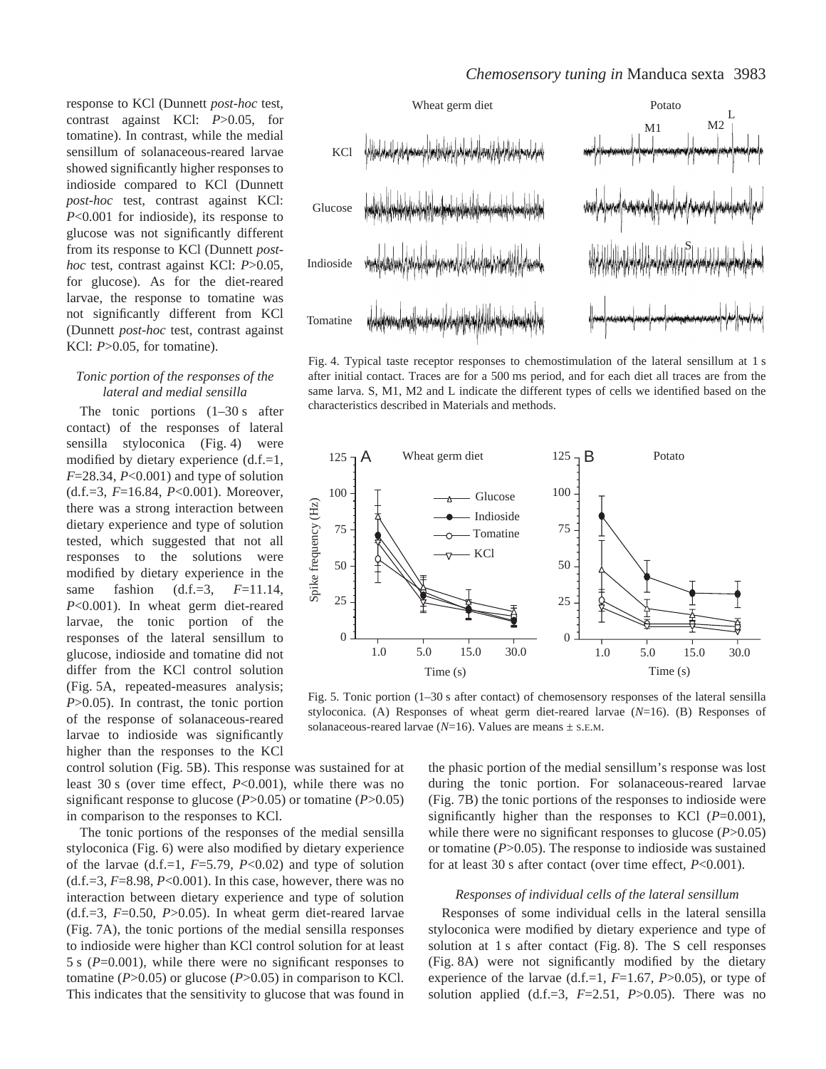response to KCl (Dunnett *post-hoc* test, contrast against KCl: *P*>0.05, for tomatine). In contrast, while the medial sensillum of solanaceous-reared larvae showed significantly higher responses to indioside compared to KCl (Dunnett *post-hoc* test, contrast against KCl: *P*<0.001 for indioside), its response to glucose was not significantly different from its response to KCl (Dunnett *posthoc* test, contrast against KCl: *P*>0.05, for glucose). As for the diet-reared larvae, the response to tomatine was not significantly different from KCl (Dunnett *post-hoc* test, contrast against KCl: *P*>0.05, for tomatine).

## *Tonic portion of the responses of the lateral and medial sensilla*

The tonic portions  $(1-30s)$  after contact) of the responses of lateral sensilla styloconica (Fig. 4) were modified by dietary experience (d.f.=1, *F*=28.34, *P*<0.001) and type of solution (d.f.=3, *F*=16.84, *P*<0.001). Moreover, there was a strong interaction between dietary experience and type of solution tested, which suggested that not all responses to the solutions were modified by dietary experience in the same fashion (d.f.=3, *F*=11.14, *P*<0.001). In wheat germ diet-reared larvae, the tonic portion of the responses of the lateral sensillum to glucose, indioside and tomatine did not differ from the KCl control solution (Fig. 5A, repeated-measures analysis; *P*>0.05). In contrast, the tonic portion of the response of solanaceous-reared larvae to indioside was significantly higher than the responses to the KCl

control solution (Fig. 5B). This response was sustained for at least 30 s (over time effect,  $P<0.001$ ), while there was no significant response to glucose (*P*>0.05) or tomatine (*P*>0.05) in comparison to the responses to KCl.

The tonic portions of the responses of the medial sensilla styloconica (Fig. 6) were also modified by dietary experience of the larvae (d.f.=1, *F*=5.79, *P*<0.02) and type of solution (d.f.=3, *F*=8.98, *P*<0.001). In this case, however, there was no interaction between dietary experience and type of solution (d.f.=3, *F*=0.50, *P*>0.05). In wheat germ diet-reared larvae (Fig. 7A), the tonic portions of the medial sensilla responses to indioside were higher than KCl control solution for at least  $5 s (P=0.001)$ , while there were no significant responses to tomatine  $(P>0.05)$  or glucose  $(P>0.05)$  in comparison to KCl. This indicates that the sensitivity to glucose that was found in

# *Chemosensory tuning in* Manduca sexta 3983



Fig. 4. Typical taste receptor responses to chemostimulation of the lateral sensillum at 1 s after initial contact. Traces are for a 500 ms period, and for each diet all traces are from the same larva. S, M1, M2 and L indicate the different types of cells we identified based on the characteristics described in Materials and methods.



Fig. 5. Tonic portion (1–30 s after contact) of chemosensory responses of the lateral sensilla styloconica. (A) Responses of wheat germ diet-reared larvae (*N*=16). (B) Responses of solanaceous-reared larvae  $(N=16)$ . Values are means  $\pm$  s.e.m.

the phasic portion of the medial sensillum's response was lost during the tonic portion. For solanaceous-reared larvae (Fig. 7B) the tonic portions of the responses to indioside were significantly higher than the responses to KCl (*P*=0.001), while there were no significant responses to glucose (*P*>0.05) or tomatine (*P*>0.05). The response to indioside was sustained for at least 30 s after contact (over time effect, *P*<0.001).

### *Responses of individual cells of the lateral sensillum*

Responses of some individual cells in the lateral sensilla styloconica were modified by dietary experience and type of solution at  $1s$  after contact (Fig. 8). The S cell responses (Fig. 8A) were not significantly modified by the dietary experience of the larvae (d.f.=1, *F*=1.67, *P*>0.05), or type of solution applied (d.f.=3, *F*=2.51, *P*>0.05). There was no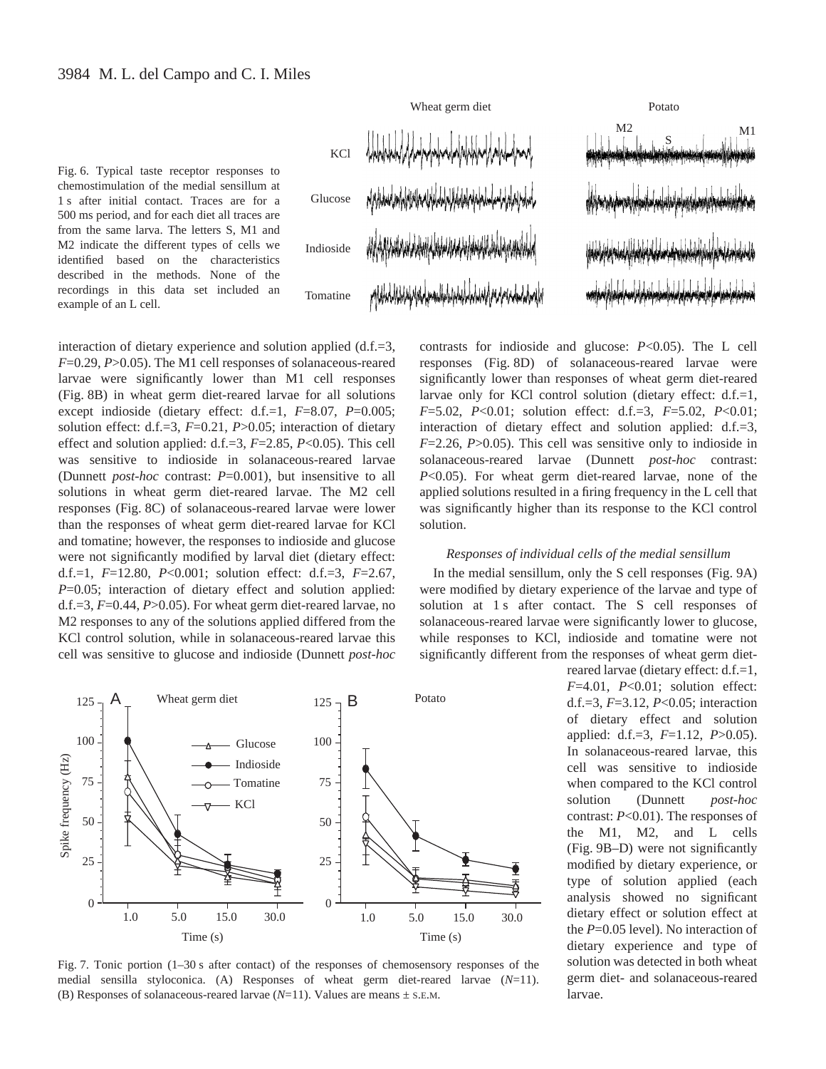

example of an L cell.

interaction of dietary experience and solution applied (d.f.=3, *F*=0.29, *P*>0.05). The M1 cell responses of solanaceous-reared larvae were significantly lower than M1 cell responses (Fig. 8B) in wheat germ diet-reared larvae for all solutions except indioside (dietary effect: d.f.=1, *F*=8.07, *P*=0.005; solution effect: d.f.=3, *F*=0.21, *P*>0.05; interaction of dietary effect and solution applied: d.f.=3, *F*=2.85, *P*<0.05). This cell was sensitive to indioside in solanaceous-reared larvae (Dunnett *post-hoc* contrast: *P*=0.001), but insensitive to all solutions in wheat germ diet-reared larvae. The M2 cell responses (Fig. 8C) of solanaceous-reared larvae were lower than the responses of wheat germ diet-reared larvae for KCl and tomatine; however, the responses to indioside and glucose were not significantly modified by larval diet (dietary effect: d.f.=1, *F*=12.80, *P*<0.001; solution effect: d.f.=3, *F*=2.67, *P*=0.05; interaction of dietary effect and solution applied: d.f.=3, *F*=0.44, *P*>0.05). For wheat germ diet-reared larvae, no M2 responses to any of the solutions applied differed from the KCl control solution, while in solanaceous-reared larvae this cell was sensitive to glucose and indioside (Dunnett *post-hoc*



Fig. 7. Tonic portion (1–30 s after contact) of the responses of chemosensory responses of the medial sensilla styloconica. (A) Responses of wheat germ diet-reared larvae (*N*=11). (B) Responses of solanaceous-reared larvae  $(N=11)$ . Values are means  $\pm$  s.e.m.



contrasts for indioside and glucose: *P*<0.05). The L cell responses (Fig. 8D) of solanaceous-reared larvae were significantly lower than responses of wheat germ diet-reared larvae only for KCl control solution (dietary effect: d.f.=1, *F*=5.02, *P*<0.01; solution effect: d.f.=3, *F*=5.02, *P*<0.01; interaction of dietary effect and solution applied: d.f.=3, *F*=2.26, *P*>0.05). This cell was sensitive only to indioside in solanaceous-reared larvae (Dunnett *post-hoc* contrast: *P*<0.05). For wheat germ diet-reared larvae, none of the applied solutions resulted in a firing frequency in the L cell that was significantly higher than its response to the KCl control solution.

### *Responses of individual cells of the medial sensillum*

In the medial sensillum, only the S cell responses (Fig. 9A) were modified by dietary experience of the larvae and type of solution at 1 s after contact. The S cell responses of solanaceous-reared larvae were significantly lower to glucose, while responses to KCl, indioside and tomatine were not significantly different from the responses of wheat germ diet-

> reared larvae (dietary effect: d.f.=1, *F*=4.01, *P*<0.01; solution effect: d.f.=3, *F*=3.12, *P*<0.05; interaction of dietary effect and solution applied: d.f.=3, *F*=1.12, *P*>0.05). In solanaceous-reared larvae, this cell was sensitive to indioside when compared to the KCl control solution (Dunnett *post-hoc* contrast: *P*<0.01). The responses of the M1, M2, and L cells (Fig. 9B–D) were not significantly modified by dietary experience, or type of solution applied (each analysis showed no significant dietary effect or solution effect at the *P*=0.05 level). No interaction of dietary experience and type of solution was detected in both wheat germ diet- and solanaceous-reared larvae.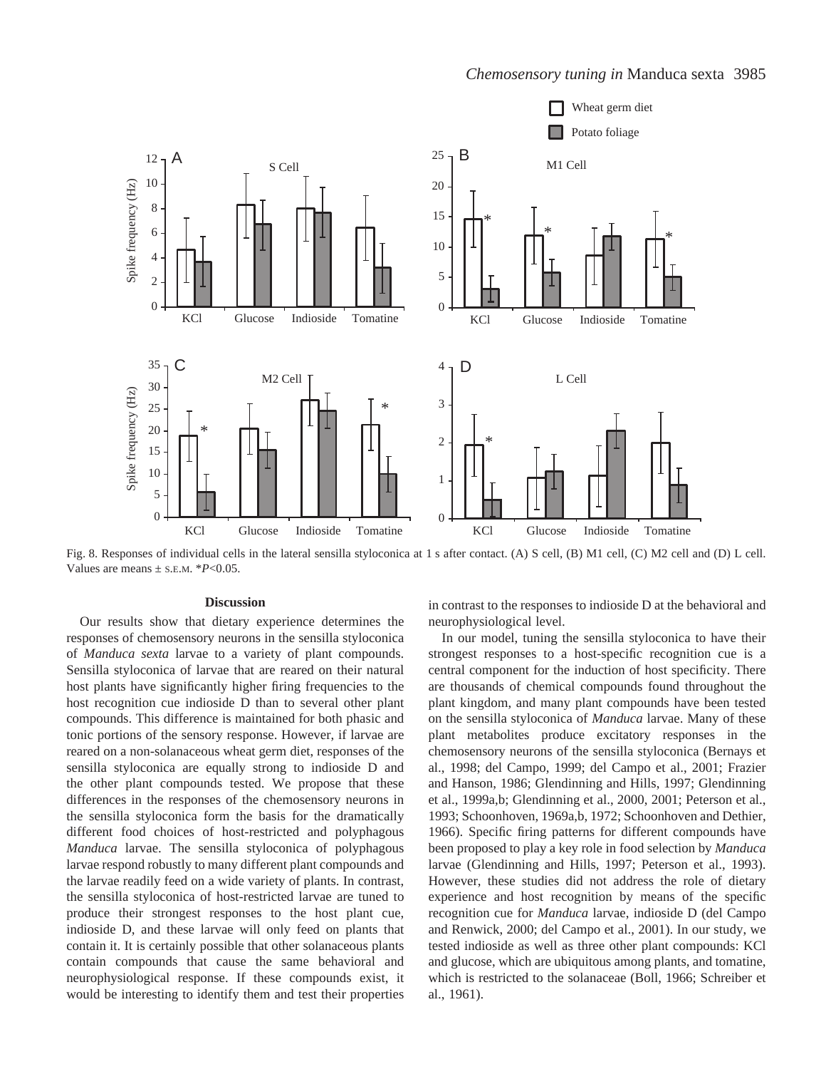

Fig. 8. Responses of individual cells in the lateral sensilla styloconica at 1 s after contact. (A) S cell, (B) M1 cell, (C) M2 cell and (D) L cell. Values are means  $\pm$  s.e.m.  $*P<0.05$ .

### **Discussion**

Our results show that dietary experience determines the responses of chemosensory neurons in the sensilla styloconica of *Manduca sexta* larvae to a variety of plant compounds. Sensilla styloconica of larvae that are reared on their natural host plants have significantly higher firing frequencies to the host recognition cue indioside D than to several other plant compounds. This difference is maintained for both phasic and tonic portions of the sensory response. However, if larvae are reared on a non-solanaceous wheat germ diet, responses of the sensilla styloconica are equally strong to indioside D and the other plant compounds tested. We propose that these differences in the responses of the chemosensory neurons in the sensilla styloconica form the basis for the dramatically different food choices of host-restricted and polyphagous *Manduca* larvae. The sensilla styloconica of polyphagous larvae respond robustly to many different plant compounds and the larvae readily feed on a wide variety of plants. In contrast, the sensilla styloconica of host-restricted larvae are tuned to produce their strongest responses to the host plant cue, indioside D, and these larvae will only feed on plants that contain it. It is certainly possible that other solanaceous plants contain compounds that cause the same behavioral and neurophysiological response. If these compounds exist, it would be interesting to identify them and test their properties in contrast to the responses to indioside D at the behavioral and neurophysiological level.

In our model, tuning the sensilla styloconica to have their strongest responses to a host-specific recognition cue is a central component for the induction of host specificity. There are thousands of chemical compounds found throughout the plant kingdom, and many plant compounds have been tested on the sensilla styloconica of *Manduca* larvae. Many of these plant metabolites produce excitatory responses in the chemosensory neurons of the sensilla styloconica (Bernays et al., 1998; del Campo, 1999; del Campo et al., 2001; Frazier and Hanson, 1986; Glendinning and Hills, 1997; Glendinning et al., 1999a,b; Glendinning et al., 2000, 2001; Peterson et al., 1993; Schoonhoven, 1969a,b, 1972; Schoonhoven and Dethier, 1966). Specific firing patterns for different compounds have been proposed to play a key role in food selection by *Manduca* larvae (Glendinning and Hills, 1997; Peterson et al., 1993). However, these studies did not address the role of dietary experience and host recognition by means of the specific recognition cue for *Manduca* larvae, indioside D (del Campo and Renwick, 2000; del Campo et al., 2001). In our study, we tested indioside as well as three other plant compounds: KCl and glucose, which are ubiquitous among plants, and tomatine, which is restricted to the solanaceae (Boll, 1966; Schreiber et al., 1961).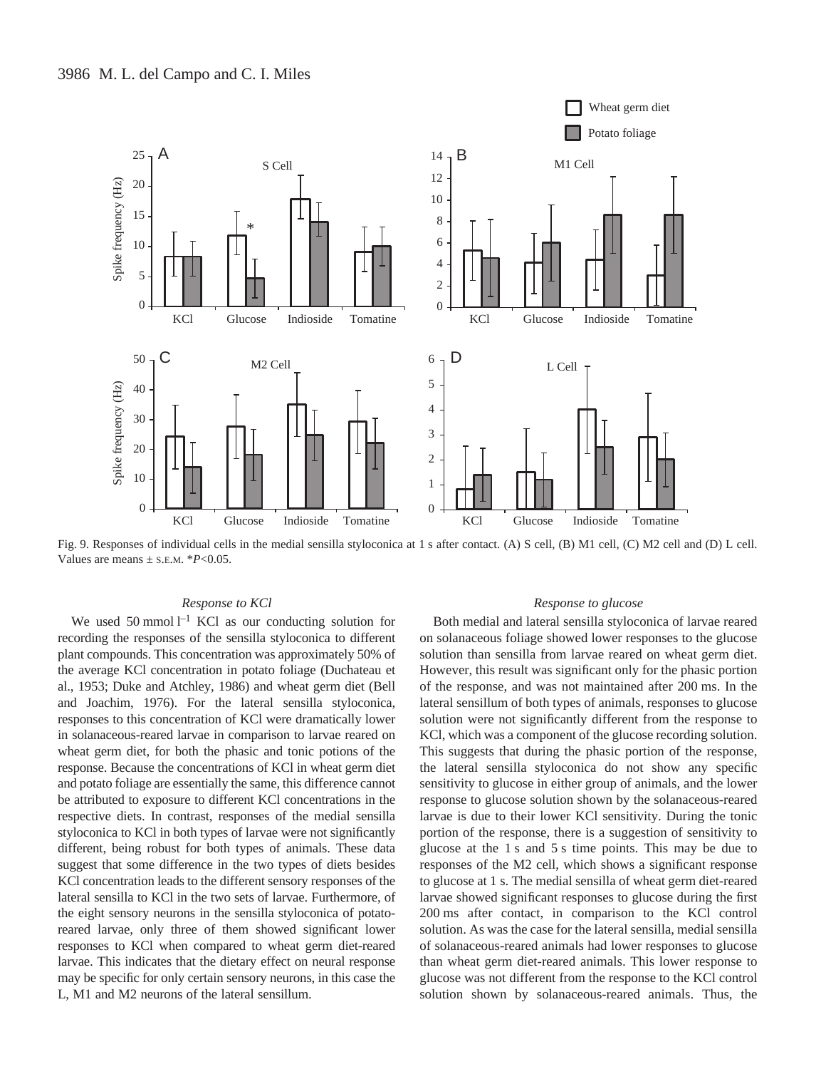

Fig. 9. Responses of individual cells in the medial sensilla styloconica at 1 s after contact. (A) S cell, (B) M1 cell, (C) M2 cell and (D) L cell. Values are means  $\pm$  s.e.m.  $*P<0.05$ .

### *Response to KCl*

We used 50 mmol<sup> $-l$ </sup> KCl as our conducting solution for recording the responses of the sensilla styloconica to different plant compounds. This concentration was approximately 50% of the average KCl concentration in potato foliage (Duchateau et al., 1953; Duke and Atchley, 1986) and wheat germ diet (Bell and Joachim, 1976). For the lateral sensilla styloconica, responses to this concentration of KCl were dramatically lower in solanaceous-reared larvae in comparison to larvae reared on wheat germ diet, for both the phasic and tonic potions of the response. Because the concentrations of KCl in wheat germ diet and potato foliage are essentially the same, this difference cannot be attributed to exposure to different KCl concentrations in the respective diets. In contrast, responses of the medial sensilla styloconica to KCl in both types of larvae were not significantly different, being robust for both types of animals. These data suggest that some difference in the two types of diets besides KCl concentration leads to the different sensory responses of the lateral sensilla to KCl in the two sets of larvae. Furthermore, of the eight sensory neurons in the sensilla styloconica of potatoreared larvae, only three of them showed significant lower responses to KCl when compared to wheat germ diet-reared larvae. This indicates that the dietary effect on neural response may be specific for only certain sensory neurons, in this case the L, M1 and M2 neurons of the lateral sensillum.

#### *Response to glucose*

Both medial and lateral sensilla styloconica of larvae reared on solanaceous foliage showed lower responses to the glucose solution than sensilla from larvae reared on wheat germ diet. However, this result was significant only for the phasic portion of the response, and was not maintained after 200 ms. In the lateral sensillum of both types of animals, responses to glucose solution were not significantly different from the response to KCl, which was a component of the glucose recording solution. This suggests that during the phasic portion of the response, the lateral sensilla styloconica do not show any specific sensitivity to glucose in either group of animals, and the lower response to glucose solution shown by the solanaceous-reared larvae is due to their lower KCl sensitivity. During the tonic portion of the response, there is a suggestion of sensitivity to glucose at the  $1s$  and  $5s$  time points. This may be due to responses of the M2 cell, which shows a significant response to glucose at 1 s. The medial sensilla of wheat germ diet-reared larvae showed significant responses to glucose during the first 200 ms after contact, in comparison to the KCl control solution. As was the case for the lateral sensilla, medial sensilla of solanaceous-reared animals had lower responses to glucose than wheat germ diet-reared animals. This lower response to glucose was not different from the response to the KCl control solution shown by solanaceous-reared animals. Thus, the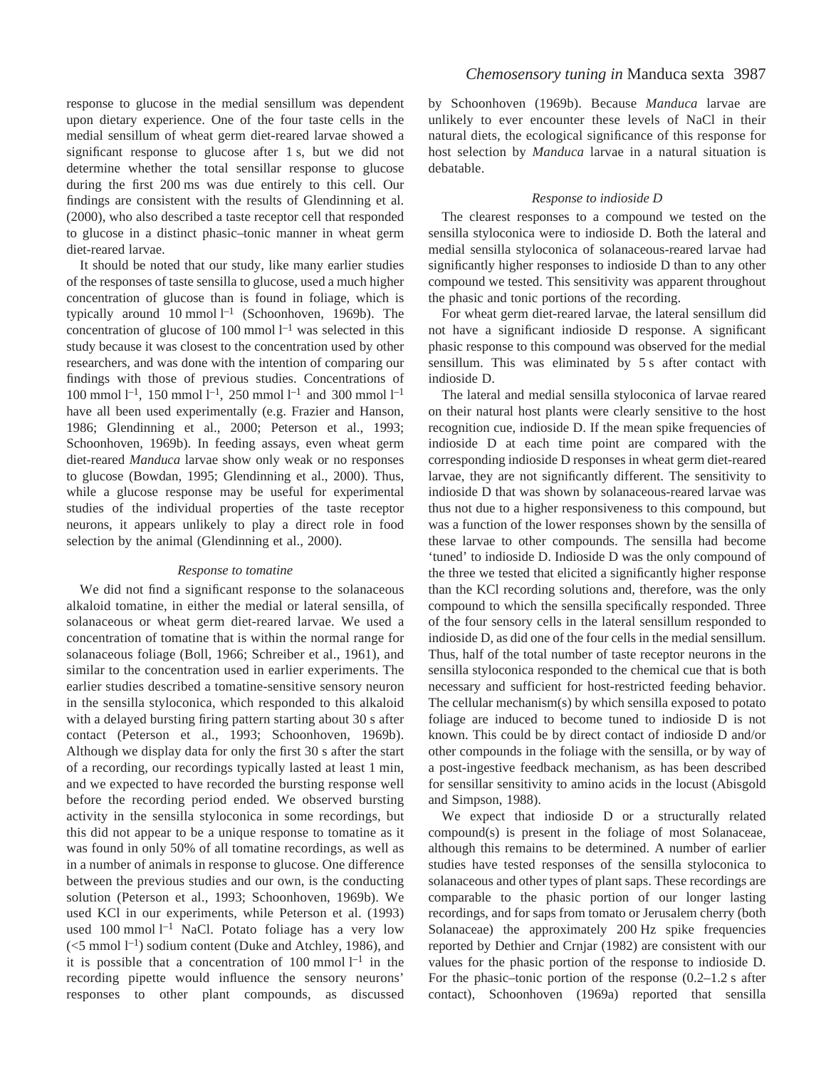response to glucose in the medial sensillum was dependent upon dietary experience. One of the four taste cells in the medial sensillum of wheat germ diet-reared larvae showed a significant response to glucose after 1 s, but we did not determine whether the total sensillar response to glucose during the first 200 ms was due entirely to this cell. Our findings are consistent with the results of Glendinning et al. (2000), who also described a taste receptor cell that responded to glucose in a distinct phasic–tonic manner in wheat germ diet-reared larvae.

It should be noted that our study, like many earlier studies of the responses of taste sensilla to glucose, used a much higher concentration of glucose than is found in foliage, which is typically around 10 mmol  $l^{-1}$  (Schoonhoven, 1969b). The concentration of glucose of 100 mmol  $l^{-1}$  was selected in this study because it was closest to the concentration used by other researchers, and was done with the intention of comparing our findings with those of previous studies. Concentrations of 100 mmol  $l^{-1}$ , 150 mmol  $l^{-1}$ , 250 mmol  $l^{-1}$  and 300 mmol  $l^{-1}$ have all been used experimentally (e.g. Frazier and Hanson, 1986; Glendinning et al., 2000; Peterson et al., 1993; Schoonhoven, 1969b). In feeding assays, even wheat germ diet-reared *Manduca* larvae show only weak or no responses to glucose (Bowdan, 1995; Glendinning et al., 2000). Thus, while a glucose response may be useful for experimental studies of the individual properties of the taste receptor neurons, it appears unlikely to play a direct role in food selection by the animal (Glendinning et al., 2000).

### *Response to tomatine*

We did not find a significant response to the solanaceous alkaloid tomatine, in either the medial or lateral sensilla, of solanaceous or wheat germ diet-reared larvae. We used a concentration of tomatine that is within the normal range for solanaceous foliage (Boll, 1966; Schreiber et al., 1961), and similar to the concentration used in earlier experiments. The earlier studies described a tomatine-sensitive sensory neuron in the sensilla styloconica, which responded to this alkaloid with a delayed bursting firing pattern starting about 30 s after contact (Peterson et al., 1993; Schoonhoven, 1969b). Although we display data for only the first 30 s after the start of a recording, our recordings typically lasted at least 1·min, and we expected to have recorded the bursting response well before the recording period ended. We observed bursting activity in the sensilla styloconica in some recordings, but this did not appear to be a unique response to tomatine as it was found in only 50% of all tomatine recordings, as well as in a number of animals in response to glucose. One difference between the previous studies and our own, is the conducting solution (Peterson et al., 1993; Schoonhoven, 1969b). We used KCl in our experiments, while Peterson et al. (1993) used  $100$  mmol  $l^{-1}$  NaCl. Potato foliage has a very low  $(<5$  mmol  $l^{-1}$ ) sodium content (Duke and Atchley, 1986), and it is possible that a concentration of  $100 \text{ mmol } l^{-1}$  in the recording pipette would influence the sensory neurons' responses to other plant compounds, as discussed

by Schoonhoven (1969b). Because *Manduca* larvae are unlikely to ever encounter these levels of NaCl in their natural diets, the ecological significance of this response for host selection by *Manduca* larvae in a natural situation is debatable.

### *Response to indioside D*

The clearest responses to a compound we tested on the sensilla styloconica were to indioside D. Both the lateral and medial sensilla styloconica of solanaceous-reared larvae had significantly higher responses to indioside D than to any other compound we tested. This sensitivity was apparent throughout the phasic and tonic portions of the recording.

For wheat germ diet-reared larvae, the lateral sensillum did not have a significant indioside D response. A significant phasic response to this compound was observed for the medial sensillum. This was eliminated by 5 s after contact with indioside D.

The lateral and medial sensilla styloconica of larvae reared on their natural host plants were clearly sensitive to the host recognition cue, indioside D. If the mean spike frequencies of indioside D at each time point are compared with the corresponding indioside D responses in wheat germ diet-reared larvae, they are not significantly different. The sensitivity to indioside D that was shown by solanaceous-reared larvae was thus not due to a higher responsiveness to this compound, but was a function of the lower responses shown by the sensilla of these larvae to other compounds. The sensilla had become 'tuned' to indioside D. Indioside D was the only compound of the three we tested that elicited a significantly higher response than the KCl recording solutions and, therefore, was the only compound to which the sensilla specifically responded. Three of the four sensory cells in the lateral sensillum responded to indioside D, as did one of the four cells in the medial sensillum. Thus, half of the total number of taste receptor neurons in the sensilla styloconica responded to the chemical cue that is both necessary and sufficient for host-restricted feeding behavior. The cellular mechanism(s) by which sensilla exposed to potato foliage are induced to become tuned to indioside D is not known. This could be by direct contact of indioside D and/or other compounds in the foliage with the sensilla, or by way of a post-ingestive feedback mechanism, as has been described for sensillar sensitivity to amino acids in the locust (Abisgold and Simpson, 1988).

We expect that indioside D or a structurally related compound(s) is present in the foliage of most Solanaceae, although this remains to be determined. A number of earlier studies have tested responses of the sensilla styloconica to solanaceous and other types of plant saps. These recordings are comparable to the phasic portion of our longer lasting recordings, and for saps from tomato or Jerusalem cherry (both Solanaceae) the approximately 200 Hz spike frequencies reported by Dethier and Crnjar (1982) are consistent with our values for the phasic portion of the response to indioside D. For the phasic–tonic portion of the response  $(0.2-1.2 \text{ s after } \theta)$ contact), Schoonhoven (1969a) reported that sensilla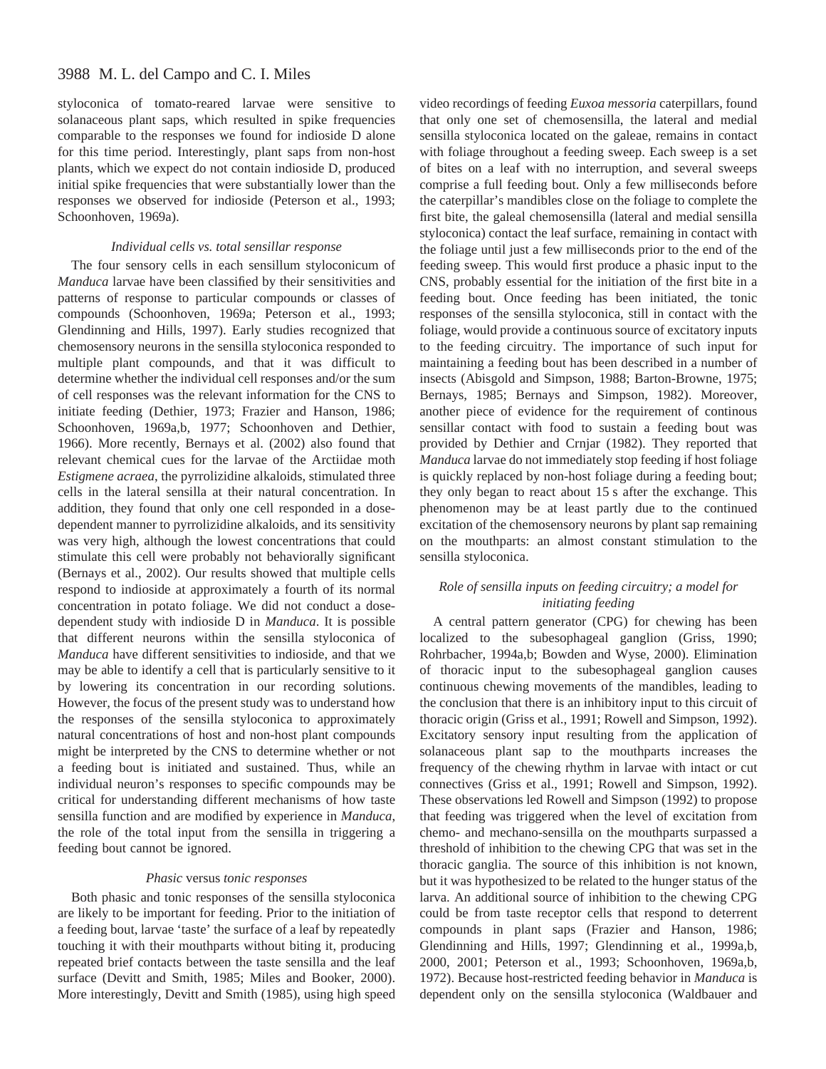# 3988 M. L. del Campo and C. I. Miles

styloconica of tomato-reared larvae were sensitive to solanaceous plant saps, which resulted in spike frequencies comparable to the responses we found for indioside D alone for this time period. Interestingly, plant saps from non-host plants, which we expect do not contain indioside D, produced initial spike frequencies that were substantially lower than the responses we observed for indioside (Peterson et al., 1993; Schoonhoven, 1969a).

### *Individual cells vs. total sensillar response*

The four sensory cells in each sensillum styloconicum of *Manduca* larvae have been classified by their sensitivities and patterns of response to particular compounds or classes of compounds (Schoonhoven, 1969a; Peterson et al., 1993; Glendinning and Hills, 1997). Early studies recognized that chemosensory neurons in the sensilla styloconica responded to multiple plant compounds, and that it was difficult to determine whether the individual cell responses and/or the sum of cell responses was the relevant information for the CNS to initiate feeding (Dethier, 1973; Frazier and Hanson, 1986; Schoonhoven, 1969a,b, 1977; Schoonhoven and Dethier, 1966). More recently, Bernays et al. (2002) also found that relevant chemical cues for the larvae of the Arctiidae moth *Estigmene acraea*, the pyrrolizidine alkaloids, stimulated three cells in the lateral sensilla at their natural concentration. In addition, they found that only one cell responded in a dosedependent manner to pyrrolizidine alkaloids, and its sensitivity was very high, although the lowest concentrations that could stimulate this cell were probably not behaviorally significant (Bernays et al., 2002). Our results showed that multiple cells respond to indioside at approximately a fourth of its normal concentration in potato foliage. We did not conduct a dosedependent study with indioside D in *Manduca*. It is possible that different neurons within the sensilla styloconica of *Manduca* have different sensitivities to indioside, and that we may be able to identify a cell that is particularly sensitive to it by lowering its concentration in our recording solutions. However, the focus of the present study was to understand how the responses of the sensilla styloconica to approximately natural concentrations of host and non-host plant compounds might be interpreted by the CNS to determine whether or not a feeding bout is initiated and sustained. Thus, while an individual neuron's responses to specific compounds may be critical for understanding different mechanisms of how taste sensilla function and are modified by experience in *Manduca*, the role of the total input from the sensilla in triggering a feeding bout cannot be ignored.

### *Phasic* versus *tonic responses*

Both phasic and tonic responses of the sensilla styloconica are likely to be important for feeding. Prior to the initiation of a feeding bout, larvae 'taste' the surface of a leaf by repeatedly touching it with their mouthparts without biting it, producing repeated brief contacts between the taste sensilla and the leaf surface (Devitt and Smith, 1985; Miles and Booker, 2000). More interestingly, Devitt and Smith (1985), using high speed

video recordings of feeding *Euxoa messoria* caterpillars, found that only one set of chemosensilla, the lateral and medial sensilla styloconica located on the galeae, remains in contact with foliage throughout a feeding sweep. Each sweep is a set of bites on a leaf with no interruption, and several sweeps comprise a full feeding bout. Only a few milliseconds before the caterpillar's mandibles close on the foliage to complete the first bite, the galeal chemosensilla (lateral and medial sensilla styloconica) contact the leaf surface, remaining in contact with the foliage until just a few milliseconds prior to the end of the feeding sweep. This would first produce a phasic input to the CNS, probably essential for the initiation of the first bite in a feeding bout. Once feeding has been initiated, the tonic responses of the sensilla styloconica, still in contact with the foliage, would provide a continuous source of excitatory inputs to the feeding circuitry. The importance of such input for maintaining a feeding bout has been described in a number of insects (Abisgold and Simpson, 1988; Barton-Browne, 1975; Bernays, 1985; Bernays and Simpson, 1982). Moreover, another piece of evidence for the requirement of continous sensillar contact with food to sustain a feeding bout was provided by Dethier and Crnjar (1982). They reported that *Manduca* larvae do not immediately stop feeding if host foliage is quickly replaced by non-host foliage during a feeding bout; they only began to react about 15 s after the exchange. This phenomenon may be at least partly due to the continued excitation of the chemosensory neurons by plant sap remaining on the mouthparts: an almost constant stimulation to the sensilla styloconica.

# *Role of sensilla inputs on feeding circuitry; a model for initiating feeding*

A central pattern generator (CPG) for chewing has been localized to the subesophageal ganglion (Griss, 1990; Rohrbacher, 1994a,b; Bowden and Wyse, 2000). Elimination of thoracic input to the subesophageal ganglion causes continuous chewing movements of the mandibles, leading to the conclusion that there is an inhibitory input to this circuit of thoracic origin (Griss et al., 1991; Rowell and Simpson, 1992). Excitatory sensory input resulting from the application of solanaceous plant sap to the mouthparts increases the frequency of the chewing rhythm in larvae with intact or cut connectives (Griss et al., 1991; Rowell and Simpson, 1992). These observations led Rowell and Simpson (1992) to propose that feeding was triggered when the level of excitation from chemo- and mechano-sensilla on the mouthparts surpassed a threshold of inhibition to the chewing CPG that was set in the thoracic ganglia. The source of this inhibition is not known, but it was hypothesized to be related to the hunger status of the larva. An additional source of inhibition to the chewing CPG could be from taste receptor cells that respond to deterrent compounds in plant saps (Frazier and Hanson, 1986; Glendinning and Hills, 1997; Glendinning et al., 1999a,b, 2000, 2001; Peterson et al., 1993; Schoonhoven, 1969a,b, 1972). Because host-restricted feeding behavior in *Manduca* is dependent only on the sensilla styloconica (Waldbauer and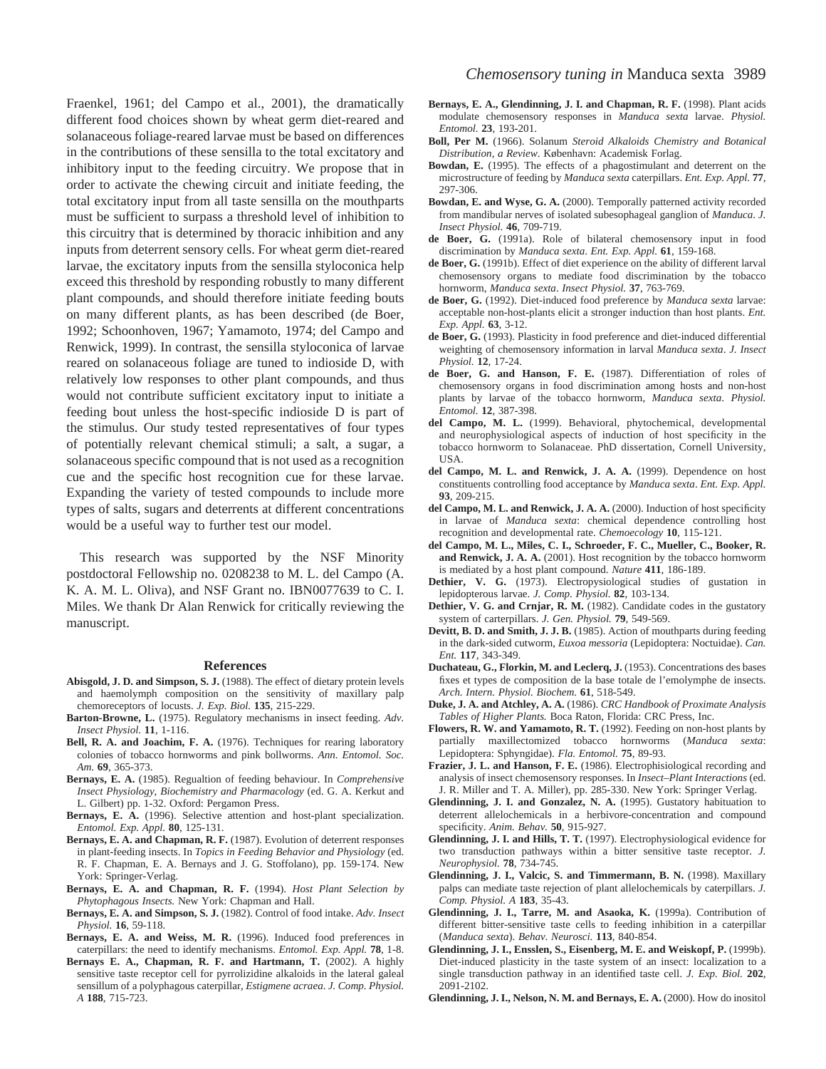Fraenkel, 1961; del Campo et al., 2001), the dramatically different food choices shown by wheat germ diet-reared and solanaceous foliage-reared larvae must be based on differences in the contributions of these sensilla to the total excitatory and inhibitory input to the feeding circuitry. We propose that in order to activate the chewing circuit and initiate feeding, the total excitatory input from all taste sensilla on the mouthparts must be sufficient to surpass a threshold level of inhibition to this circuitry that is determined by thoracic inhibition and any inputs from deterrent sensory cells. For wheat germ diet-reared larvae, the excitatory inputs from the sensilla styloconica help exceed this threshold by responding robustly to many different plant compounds, and should therefore initiate feeding bouts on many different plants, as has been described (de Boer, 1992; Schoonhoven, 1967; Yamamoto, 1974; del Campo and Renwick, 1999). In contrast, the sensilla styloconica of larvae reared on solanaceous foliage are tuned to indioside D, with relatively low responses to other plant compounds, and thus would not contribute sufficient excitatory input to initiate a feeding bout unless the host-specific indioside D is part of the stimulus. Our study tested representatives of four types of potentially relevant chemical stimuli; a salt, a sugar, a solanaceous specific compound that is not used as a recognition cue and the specific host recognition cue for these larvae. Expanding the variety of tested compounds to include more types of salts, sugars and deterrents at different concentrations would be a useful way to further test our model.

This research was supported by the NSF Minority postdoctoral Fellowship no. 0208238 to M. L. del Campo (A. K. A. M. L. Oliva), and NSF Grant no. IBN0077639 to C. I. Miles. We thank Dr Alan Renwick for critically reviewing the manuscript.

#### **References**

- **Abisgold, J. D. and Simpson, S. J.** (1988). The effect of dietary protein levels and haemolymph composition on the sensitivity of maxillary palp chemoreceptors of locusts. *J. Exp. Biol.* **135**, 215-229.
- **Barton-Browne, L.** (1975). Regulatory mechanisms in insect feeding. *Adv. Insect Physiol.* **11**, 1-116.
- **Bell, R. A. and Joachim, F. A.** (1976). Techniques for rearing laboratory colonies of tobacco hornworms and pink bollworms. *Ann. Entomol. Soc. Am.* **69**, 365-373.
- **Bernays, E. A.** (1985). Regualtion of feeding behaviour. In *Comprehensive Insect Physiology, Biochemistry and Pharmacology* (ed. G. A. Kerkut and L. Gilbert) pp. 1-32. Oxford: Pergamon Press.
- **Bernays, E. A.** (1996). Selective attention and host-plant specialization. *Entomol. Exp. Appl.* **80**, 125-131.
- **Bernays, E. A. and Chapman, R. F.** (1987). Evolution of deterrent responses in plant-feeding insects. In *Topics in Feeding Behavior and Physiology* (ed. R. F. Chapman, E. A. Bernays and J. G. Stoffolano), pp. 159-174. New York: Springer-Verlag.
- **Bernays, E. A. and Chapman, R. F.** (1994). *Host Plant Selection by Phytophagous Insects.* New York: Chapman and Hall.
- **Bernays, E. A. and Simpson, S. J.** (1982). Control of food intake. *Adv. Insect Physiol.* **16**, 59-118.
- **Bernays, E. A. and Weiss, M. R.** (1996). Induced food preferences in caterpillars: the need to identify mechanisms. *Entomol. Exp. Appl.* **78**, 1-8.
- **Bernays E. A., Chapman, R. F. and Hartmann, T.** (2002). A highly sensitive taste receptor cell for pyrrolizidine alkaloids in the lateral galeal sensillum of a polyphagous caterpillar, *Estigmene acraea*. *J. Comp. Physiol. A* **188**, 715-723.
- **Bernays, E. A., Glendinning, J. I. and Chapman, R. F.** (1998). Plant acids modulate chemosensory responses in *Manduca sexta* larvae. *Physiol. Entomol.* **23**, 193-201.
- **Boll, Per M.** (1966). Solanum *Steroid Alkaloids Chemistry and Botanical Distribution, a Review*. København: Academisk Forlag.
- **Bowdan, E.** (1995). The effects of a phagostimulant and deterrent on the microstructure of feeding by *Manduca sexta* caterpillars. *Ent. Exp. Appl.* **77**, 297-306.
- **Bowdan, E. and Wyse, G. A.** (2000). Temporally patterned activity recorded from mandibular nerves of isolated subesophageal ganglion of *Manduca*. *J. Insect Physiol.* **46**, 709-719.
- **de Boer, G.** (1991a). Role of bilateral chemosensory input in food discrimination by *Manduca sexta*. *Ent. Exp. Appl.* **61**, 159-168.
- **de Boer, G.** (1991b). Effect of diet experience on the ability of different larval chemosensory organs to mediate food discrimination by the tobacco hornworm, *Manduca sexta*. *Insect Physiol.* **37**, 763-769.
- **de Boer, G.** (1992). Diet-induced food preference by *Manduca sexta* larvae: acceptable non-host-plants elicit a stronger induction than host plants. *Ent. Exp. Appl.* **63**, 3-12.
- **de Boer, G.** (1993). Plasticity in food preference and diet-induced differential weighting of chemosensory information in larval *Manduca sexta*. *J. Insect Physiol.* **12**, 17-24.
- **de Boer, G. and Hanson, F. E.** (1987). Differentiation of roles of chemosensory organs in food discrimination among hosts and non-host plants by larvae of the tobacco hornworm, *Manduca sexta*. *Physiol. Entomol.* **12**, 387-398.
- **del Campo, M. L.** (1999). Behavioral, phytochemical, developmental and neurophysiological aspects of induction of host specificity in the tobacco hornworm to Solanaceae. PhD dissertation, Cornell University, USA.
- **del Campo, M. L. and Renwick, J. A. A.** (1999). Dependence on host constituents controlling food acceptance by *Manduca sexta*. *Ent. Exp. Appl.* **93**, 209-215.
- **del Campo, M. L. and Renwick, J. A. A.** (2000). Induction of host specificity in larvae of *Manduca sexta*: chemical dependence controlling host recognition and developmental rate. *Chemoecology* **10**, 115-121.
- **del Campo, M. L., Miles, C. I., Schroeder, F. C., Mueller, C., Booker, R. and Renwick, J. A. A.** (2001). Host recognition by the tobacco hornworm is mediated by a host plant compound. *Nature* **411**, 186-189.
- **Dethier, V. G.** (1973). Electropysiological studies of gustation in lepidopterous larvae. *J. Comp. Physiol.* **82**, 103-134.
- **Dethier, V. G. and Crnjar, R. M.** (1982). Candidate codes in the gustatory system of carterpillars. *J. Gen. Physiol.* **79**, 549-569.
- **Devitt, B. D. and Smith, J. J. B.** (1985). Action of mouthparts during feeding in the dark-sided cutworm, *Euxoa messoria* (Lepidoptera: Noctuidae). *Can. Ent.* **117**, 343-349.
- **Duchateau, G., Florkin, M. and Leclerq, J.** (1953). Concentrations des bases fixes et types de composition de la base totale de l'emolymphe de insects. *Arch. Intern. Physiol. Biochem.* **61**, 518-549.
- **Duke, J. A. and Atchley, A. A.** (1986). *CRC Handbook of Proximate Analysis Tables of Higher Plants.* Boca Raton, Florida: CRC Press, Inc.
- **Flowers, R. W. and Yamamoto, R. T.** (1992). Feeding on non-host plants by partially maxillectomized tobacco hornworms (*Manduca sexta*: Lepidoptera: Sphyngidae). *Fla. Entomol.* **75**, 89-93.
- **Frazier, J. L. and Hanson, F. E.** (1986). Electrophisiological recording and analysis of insect chemosensory responses. In *Insect–Plant Interactions* (ed. J. R. Miller and T. A. Miller), pp. 285-330. New York: Springer Verlag.
- **Glendinning, J. I. and Gonzalez, N. A.** (1995). Gustatory habituation to deterrent allelochemicals in a herbivore-concentration and compound specificity. *Anim. Behav.* **50**, 915-927.
- **Glendinning, J. I. and Hills, T. T.** (1997). Electrophysiological evidence for two transduction pathways within a bitter sensitive taste receptor. *J. Neurophysiol.* **78**, 734-745.
- **Glendinning, J. I., Valcic, S. and Timmermann, B. N.** (1998). Maxillary palps can mediate taste rejection of plant allelochemicals by caterpillars. *J. Comp. Physiol. A* **183**, 35-43.
- **Glendinning, J. I., Tarre, M. and Asaoka, K.** (1999a). Contribution of different bitter-sensitive taste cells to feeding inhibition in a caterpillar (*Manduca sexta*). *Behav. Neurosci.* **113**, 840-854.
- **Glendinning, J. I., Ensslen, S., Eisenberg, M. E. and Weiskopf, P.** (1999b). Diet-induced plasticity in the taste system of an insect: localization to a single transduction pathway in an identified taste cell. *J. Exp. Biol.* **202**, 2091-2102.
- **Glendinning, J. I., Nelson, N. M. and Bernays, E. A.** (2000). How do inositol